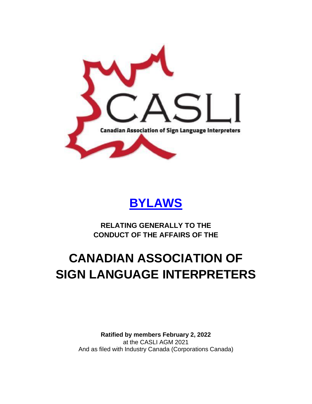



**RELATING GENERALLY TO THE CONDUCT OF THE AFFAIRS OF THE**

# **CANADIAN ASSOCIATION OF SIGN LANGUAGE INTERPRETERS**

**Ratified by members February 2, 2022** at the CASLI AGM 2021 And as filed with Industry Canada (Corporations Canada)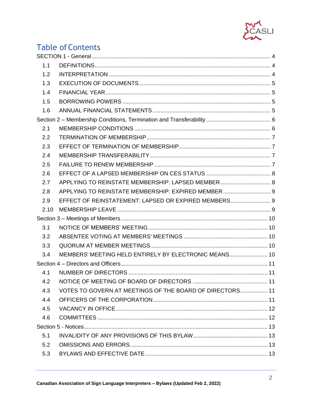

# **Table of Contents**

| 1.1  |                                                          |  |
|------|----------------------------------------------------------|--|
| 1.2  |                                                          |  |
| 1.3  |                                                          |  |
| 1.4  |                                                          |  |
| 1.5  |                                                          |  |
| 1.6  |                                                          |  |
|      |                                                          |  |
| 2.1  |                                                          |  |
| 2.2  |                                                          |  |
| 2.3  |                                                          |  |
| 2.4  |                                                          |  |
| 2.5  |                                                          |  |
| 2.6  |                                                          |  |
| 2.7  | APPLYING TO REINSTATE MEMBERSHIP: LAPSED MEMBER 8        |  |
| 2.8  | APPLYING TO REINSTATE MEMBERSHIP: EXPIRED MEMBER 9       |  |
| 2.9  | EFFECT OF REINSTATEMENT: LAPSED OR EXPIRED MEMBERS 9     |  |
| 2.10 |                                                          |  |
|      |                                                          |  |
| 3.1  |                                                          |  |
| 3.2  |                                                          |  |
| 3.3  |                                                          |  |
| 3.4  | MEMBERS' MEETING HELD ENTIRELY BY ELECTRONIC MEANS 10    |  |
|      |                                                          |  |
| 4.1  |                                                          |  |
|      |                                                          |  |
| 4.3  | VOTES TO GOVERN AT MEETINGS OF THE BOARD OF DIRECTORS 11 |  |
| 4.4  |                                                          |  |
| 4.5  |                                                          |  |
| 4.6  |                                                          |  |
|      |                                                          |  |
| 5.1  |                                                          |  |
| 5.2  |                                                          |  |
| 5.3  |                                                          |  |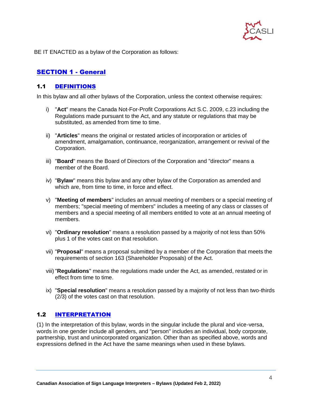

BE IT ENACTED as a bylaw of the Corporation as follows:

# <span id="page-3-0"></span>[SECTION 1 -](https://youtu.be/d11IR3IrrU8?t=31) General

# <span id="page-3-1"></span>1.1 [DEFINITIONS](https://youtu.be/d11IR3IrrU8?t=33)

In this bylaw and all other bylaws of the Corporation, unless the context otherwise requires:

- i) "**Act**" means the Canada Not-For-Profit Corporations Act S.C. 2009, c.23 including the Regulations made pursuant to the Act, and any statute or regulations that may be substituted, as amended from time to time.
- ii) "**Articles**" means the original or restated articles of incorporation or articles of amendment, amalgamation, continuance, reorganization, arrangement or revival of the Corporation.
- iii) "**Board**" means the Board of Directors of the Corporation and "director" means a member of the Board.
- iv) "**Bylaw**" means this bylaw and any other bylaw of the Corporation as amended and which are, from time to time, in force and effect.
- v) "**Meeting of members**" includes an annual meeting of members or a special meeting of members; "special meeting of members" includes a meeting of any class or classes of members and a special meeting of all members entitled to vote at an annual meeting of members.
- vi) "**Ordinary resolution**" means a resolution passed by a majority of not less than 50% plus 1 of the votes cast on that resolution.
- vii) "**Proposal**" means a proposal submitted by a member of the Corporation that meets the requirements of section 163 (Shareholder Proposals) of the Act.
- viii)"**Regulations**" means the regulations made under the Act, as amended, restated or in effect from time to time.
- ix) "**Special resolution**" means a resolution passed by a majority of not less than two-thirds (2/3) of the votes cast on that resolution.

# <span id="page-3-2"></span>1.2 [INTERPRETATION](https://youtu.be/d11IR3IrrU8?t=204)

(1) In the interpretation of this bylaw, words in the singular include the plural and vice-versa, words in one gender include all genders, and "person" includes an individual, body corporate, partnership, trust and unincorporated organization. Other than as specified above, words and expressions defined in the Act have the same meanings when used in these bylaws.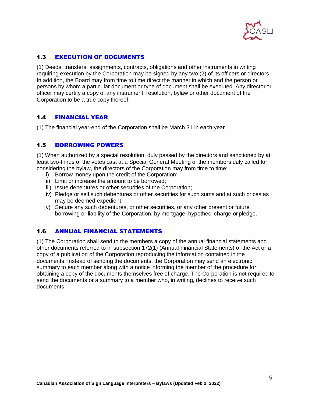

# <span id="page-4-0"></span>1.3 [EXECUTION OF](https://youtu.be/d11IR3IrrU8) DOCUMENTS

(1) Deeds, transfers, assignments, contracts, obligations and other instruments in writing requiring execution by the Corporation may be signed by any two (2) of its officers or directors. In addition, the Board may from time to time direct the manner in which and the person or persons by whom a particular document or type of document shall be executed. Any director or officer may certify a copy of any instrument, resolution, bylaw or other document of the Corporation to be a true copy thereof.

# <span id="page-4-1"></span>1.4 [FINANCIAL](https://youtu.be/d11IR3IrrU8?t=295) YEAR

(1) The financial year-end of the Corporation shall be March 31 in each year.

# <span id="page-4-2"></span>1.5 [BORROWING](https://youtu.be/d11IR3IrrU8?t=312) POWERS

(1) When authorized by a special resolution, duly passed by the directors and sanctioned by at least two-thirds of the votes cast at a Special General Meeting of the members duly called for considering the bylaw, the directors of the Corporation may from time to time:

- i) Borrow money upon the credit of the Corporation;
- ii) Limit or increase the amount to be borrowed;
- iii) Issue debentures or other securities of the Corporation;
- iv) Pledge or sell such debentures or other securities for such sums and at such prices as may be deemed expedient;
- v) Secure any such debentures, or other securities, or any other present or future borrowing or liability of the Corporation, by mortgage, hypothec, charge or pledge.

# <span id="page-4-3"></span>1.6 [ANNUAL FINANCIAL](https://youtu.be/d11IR3IrrU8?t=385) STATEMENTS

(1) The Corporation shall send to the members a copy of the annual financial statements and other documents referred to in subsection 172(1) (Annual Financial Statements) of the Act or a copy of a publication of the Corporation reproducing the information contained in the documents. Instead of sending the documents, the Corporation may send an electronic summary to each member along with a notice informing the member of the procedure for obtaining a copy of the documents themselves free of charge. The Corporation is not required to send the documents or a summary to a member who, in writing, declines to receive such documents.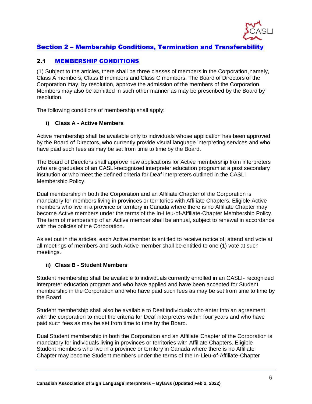

# <span id="page-5-0"></span>Section 2 – [Membership Conditions, Termination and Transferability](https://youtu.be/d11IR3IrrU8?t=449)

# <span id="page-5-1"></span>2.1 [MEMBERSHIP](https://youtu.be/d11IR3IrrU8?t=457) CONDITIONS

(1) Subject to the articles, there shall be three classes of members in the Corporation,namely, Class A members, Class B members and Class C members. The Board of Directors of the Corporation may, by resolution, approve the admission of the members of the Corporation. Members may also be admitted in such other manner as may be prescribed by the Board by resolution.

The following conditions of membership shall apply:

#### **i) Class A - Active Members**

Active membership shall be available only to individuals whose application has been approved by the Board of Directors, who currently provide visual language interpreting services and who have paid such fees as may be set from time to time by the Board.

The Board of Directors shall approve new applications for Active membership from interpreters who are graduates of an CASLI-recognized interpreter education program at a post secondary institution or who meet the defined criteria for Deaf interpreters outlined in the CASLI Membership Policy.

Dual membership in both the Corporation and an Affiliate Chapter of the Corporation is mandatory for members living in provinces or territories with Affiliate Chapters. Eligible Active members who live in a province or territory in Canada where there is no Affiliate Chapter may become Active members under the terms of the In-Lieu-of-Affiliate-Chapter Membership Policy. The term of membership of an Active member shall be annual, subject to renewal in accordance with the policies of the Corporation.

As set out in the articles, each Active member is entitled to receive notice of, attend and vote at all meetings of members and such Active member shall be entitled to one (1) vote at such meetings.

#### **ii) Class B - Student Members**

Student membership shall be available to individuals currently enrolled in an CASLI- recognized interpreter education program and who have applied and have been accepted for Student membership in the Corporation and who have paid such fees as may be set from time to time by the Board.

Student membership shall also be available to Deaf individuals who enter into an agreement with the corporation to meet the criteria for Deaf interpreters within four years and who have paid such fees as may be set from time to time by the Board.

Dual Student membership in both the Corporation and an Affiliate Chapter of the Corporation is mandatory for individuals living in provinces or territories with Affiliate Chapters. Eligible Student members who live in a province or territory in Canada where there is no Affiliate Chapter may become Student members under the terms of the In-Lieu-of-Affiliate-Chapter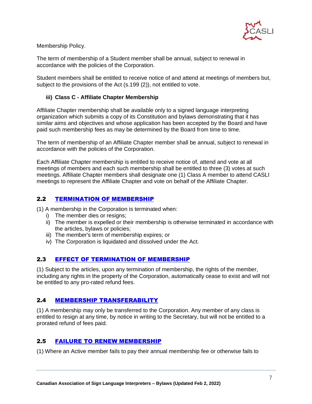

Membership Policy.

The term of membership of a Student member shall be annual, subject to renewal in accordance with the policies of the Corporation.

Student members shall be entitled to receive notice of and attend at meetings of members but, subject to the provisions of the Act (s.199 (2)), not entitled to vote.

#### **iii) Class C - Affiliate Chapter Membership**

Affiliate Chapter membership shall be available only to a signed language interpreting organization which submits a copy of its Constitution and bylaws demonstrating that it has similar aims and objectives and whose application has been accepted by the Board and have paid such membership fees as may be determined by the Board from time to time.

The term of membership of an Affiliate Chapter member shall be annual, subject to renewal in accordance with the policies of the Corporation.

Each Affiliate Chapter membership is entitled to receive notice of, attend and vote at all meetings of members and each such membership shall be entitled to three (3) votes at such meetings. Affiliate Chapter members shall designate one (1) Class A member to attend CASLI meetings to represent the Affiliate Chapter and vote on behalf of the Affiliate Chapter.

# <span id="page-6-0"></span>2.2 [TERMINATION OF](https://youtu.be/d11IR3IrrU8?t=819) MEMBERSHIP

(1) A membership in the Corporation is terminated when:

- i) The member dies or resigns;
- ii) The member is expelled or their membership is otherwise terminated in accordance with the articles, bylaws or policies;
- iii) The member's term of membership expires; or
- iv) The Corporation is liquidated and dissolved under the Act.

#### <span id="page-6-1"></span>2.3 [EFFECT OF TERMINATION OF](https://youtu.be/d11IR3IrrU8?t=861) MEMBERSHIP

(1) Subject to the articles, upon any termination of membership, the rights of the member, including any rights in the property of the Corporation, automatically cease to exist and will not be entitled to any pro-rated refund fees.

#### <span id="page-6-2"></span>2.4 MEMBERSHIP [TRANSFERABILITY](https://youtu.be/d11IR3IrrU8?t=888)

(1) A membership may only be transferred to the Corporation. Any member of any class is entitled to resign at any time, by notice in writing to the Secretary, but will not be entitled to a prorated refund of fees paid.

#### <span id="page-6-3"></span>2.5 [FAILURE TO RENEW](https://youtu.be/d11IR3IrrU8?t=919) MEMBERSHIP

(1) Where an Active member fails to pay their annual membership fee or otherwise fails to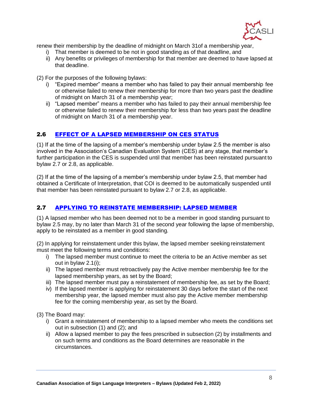

renew their membership by the deadline of midnight on March 31of a membership year,

- i) That member is deemed to be not in good standing as of that deadline, and
- ii) Any benefits or privileges of membership for that member are deemed to have lapsed at that deadline.
- (2) For the purposes of the following bylaws:
	- i) "Expired member" means a member who has failed to pay their annual membership fee or otherwise failed to renew their membership for more than two years past the deadline of midnight on March 31 of a membership year;
	- ii) "Lapsed member" means a member who has failed to pay their annual membership fee or otherwise failed to renew their membership for less than two years past the deadline of midnight on March 31 of a membership year.

#### <span id="page-7-0"></span>2.6 [EFFECT OF A LAPSED MEMBERSHIP ON CES](https://youtu.be/d11IR3IrrU8?t=1007) STATUS

(1) If at the time of the lapsing of a member's membership under bylaw 2.5 the member is also involved in the Association's Canadian Evaluation System (CES) at any stage, that member's further participation in the CES is suspended until that member has been reinstated pursuant to bylaw 2.7 or 2.8, as applicable.

(2) If at the time of the lapsing of a member's membership under bylaw 2.5, that member had obtained a Certificate of Interpretation, that COI is deemed to be automatically suspended until that member has been reinstated pursuant to bylaw 2.7 or 2.8, as applicable.

# <span id="page-7-1"></span>2.7 [APPLYING TO REINSTATE MEMBERSHIP: LAPSED](https://youtu.be/d11IR3IrrU8?t=1067) MEMBER

(1) A lapsed member who has been deemed not to be a member in good standing pursuant to bylaw 2.5 may, by no later than March 31 of the second year following the lapse of membership, apply to be reinstated as a member in good standing.

(2) In applying for reinstatement under this bylaw, the lapsed member seeking reinstatement must meet the following terms and conditions:

- i) The lapsed member must continue to meet the criteria to be an Active member as set out in bylaw 2.1(i);
- ii) The lapsed member must retroactively pay the Active member membership fee for the lapsed membership years, as set by the Board;
- iii) The lapsed member must pay a reinstatement of membership fee, as set by the Board;
- iv) If the lapsed member is applying for reinstatement 30 days before the start of the next membership year, the lapsed member must also pay the Active member membership fee for the coming membership year, as set by the Board.

(3) The Board may:

- i) Grant a reinstatement of membership to a lapsed member who meets the conditions set out in subsection (1) and (2); and
- ii) Allow a lapsed member to pay the fees prescribed in subsection (2) by installments and on such terms and conditions as the Board determines are reasonable in the circumstances.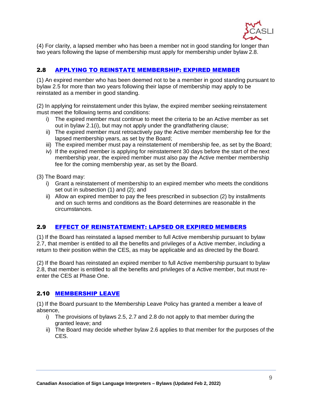

(4) For clarity, a lapsed member who has been a member not in good standing for longer than two years following the lapse of membership must apply for membership under bylaw 2.8.

# <span id="page-8-0"></span>2.8 [APPLYING TO REINSTATE MEMBERSHIP: EXPIRED](https://youtu.be/d11IR3IrrU8?t=1212) MEMBER

(1) An expired member who has been deemed not to be a member in good standing pursuant to bylaw 2.5 for more than two years following their lapse of membership may apply to be reinstated as a member in good standing.

(2) In applying for reinstatement under this bylaw, the expired member seeking reinstatement must meet the following terms and conditions:

- i) The expired member must continue to meet the criteria to be an Active member as set out in bylaw 2.1(i), but may not apply under the grandfathering clause;
- ii) The expired member must retroactively pay the Active member membership fee for the lapsed membership years, as set by the Board;
- iii) The expired member must pay a reinstatement of membership fee, as set by the Board;
- iv) If the expired member is applying for reinstatement 30 days before the start of the next membership year, the expired member must also pay the Active member membership fee for the coming membership year, as set by the Board.

(3) The Board may:

- i) Grant a reinstatement of membership to an expired member who meets the conditions set out in subsection (1) and (2); and
- ii) Allow an expired member to pay the fees prescribed in subsection (2) by installments and on such terms and conditions as the Board determines are reasonable in the circumstances.

#### <span id="page-8-1"></span>2.9 [EFFECT OF REINSTATEMENT: LAPSED OR EXPIRED](https://youtu.be/d11IR3IrrU8?t=1336) MEMBERS

(1) If the Board has reinstated a lapsed member to full Active membership pursuant to bylaw 2.7, that member is entitled to all the benefits and privileges of a Active member, including a return to their position within the CES, as may be applicable and as directed by the Board.

(2) If the Board has reinstated an expired member to full Active membership pursuant to bylaw 2.8, that member is entitled to all the benefits and privileges of a Active member, but must reenter the CES at Phase One.

#### <span id="page-8-2"></span>2.10 [MEMBERSHIP](https://youtu.be/d11IR3IrrU8?t=1392) LEAVE

(1) If the Board pursuant to the Membership Leave Policy has granted a member a leave of absence,

- i) The provisions of bylaws 2.5, 2.7 and 2.8 do not apply to that member during the granted leave; and
- ii) The Board may decide whether bylaw 2.6 applies to that member for the purposes of the CES.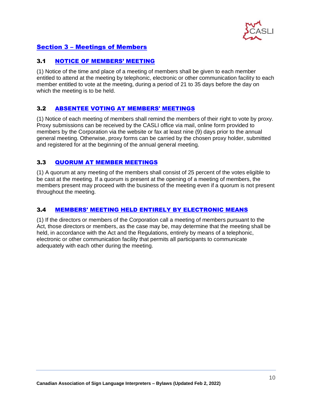

# <span id="page-9-0"></span>Section 3 – [Meetings of Members](https://youtu.be/d11IR3IrrU8?t=1432)

#### <span id="page-9-1"></span>3.1 [NOTICE OF MEMBERS'](https://youtu.be/d11IR3IrrU8?t=1439) MEETING

(1) Notice of the time and place of a meeting of members shall be given to each member entitled to attend at the meeting by telephonic, electronic or other communication facility to each member entitled to vote at the meeting, during a period of 21 to 35 days before the day on which the meeting is to be held.

#### <span id="page-9-2"></span>3.2 [ABSENTEE VOTING AT MEMBERS'](https://youtu.be/d11IR3IrrU8?t=1471) MEETINGS

(1) Notice of each meeting of members shall remind the members of their right to vote by proxy. Proxy submissions can be received by the CASLI office via mail, online form provided to members by the Corporation via the website or fax at least nine (9) days prior to the annual general meeting. Otherwise, proxy forms can be carried by the chosen proxy holder, submitted and registered for at the beginning of the annual general meeting.

# <span id="page-9-3"></span>3.3 [QUORUM AT MEMBER](https://youtu.be/d11IR3IrrU8?t=1522) MEETINGS

(1) A quorum at any meeting of the members shall consist of 25 percent of the votes eligible to be cast at the meeting. If a quorum is present at the opening of a meeting of members, the members present may proceed with the business of the meeting even if a quorum is not present throughout the meeting.

#### <span id="page-9-4"></span>3.4 [MEMBERS' MEETING HELD ENTIRELY BY ELECTRONIC](https://youtu.be/d11IR3IrrU8?t=1560) MEANS

(1) If the directors or members of the Corporation call a meeting of members pursuant to the Act, those directors or members, as the case may be, may determine that the meeting shall be held, in accordance with the Act and the Regulations, entirely by means of a telephonic, electronic or other communication facility that permits all participants to communicate adequately with each other during the meeting.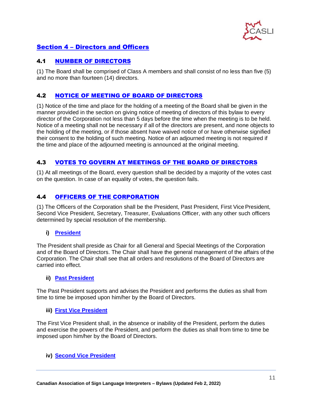

# <span id="page-10-0"></span>Section 4 – [Directors and Officers](https://youtu.be/d11IR3IrrU8?t=1602)

# <span id="page-10-1"></span>4.1 [NUMBER OF](https://youtu.be/d11IR3IrrU8?t=1610) DIRECTORS

(1) The Board shall be comprised of Class A members and shall consist of no less than five (5) and no more than fourteen (14) directors.

# <span id="page-10-2"></span>4.2 [NOTICE OF MEETING OF BOARD OF](https://youtu.be/d11IR3IrrU8?t=1628) DIRECTORS

(1) Notice of the time and place for the holding of a meeting of the Board shall be given in the manner provided in the section on giving notice of meeting of directors of this bylaw to every director of the Corporation not less than 5 days before the time when the meeting is to be held. Notice of a meeting shall not be necessary if all of the directors are present, and none objects to the holding of the meeting, or if those absent have waived notice of or have otherwise signified their consent to the holding of such meeting. Notice of an adjourned meeting is not required if the time and place of the adjourned meeting is announced at the original meeting.

# <span id="page-10-3"></span>4.3 [VOTES TO GOVERN AT MEETINGS OF THE BOARD OF](https://youtu.be/d11IR3IrrU8?t=1687) DIRECTORS

(1) At all meetings of the Board, every question shall be decided by a majority of the votes cast on the question. In case of an equality of votes, the question fails.

#### <span id="page-10-4"></span>4.4 [OFFICERS OF THE](https://youtu.be/d11IR3IrrU8?t=1715) CORPORATION

(1) The Officers of the Corporation shall be the President, Past President, First Vice President, Second Vice President, Secretary, Treasurer, Evaluations Officer, with any other such officers determined by special resolution of the membership.

#### **i) [President](https://youtu.be/d11IR3IrrU8?t=1741)**

The President shall preside as Chair for all General and Special Meetings of the Corporation and of the Board of Directors. The Chair shall have the general management of the affairs of the Corporation. The Chair shall see that all orders and resolutions of the Board of Directors are carried into effect.

#### **ii) [Past President](https://youtu.be/d11IR3IrrU8?t=1774)**

The Past President supports and advises the President and performs the duties as shall from time to time be imposed upon him/her by the Board of Directors.

#### **iii) First Vice [President](https://youtu.be/d11IR3IrrU8?t=1796)**

The First Vice President shall, in the absence or inability of the President, perform the duties and exercise the powers of the President, and perform the duties as shall from time to time be imposed upon him/her by the Board of Directors.

#### **iv) [Second Vice](https://youtu.be/d11IR3IrrU8?t=1822) President**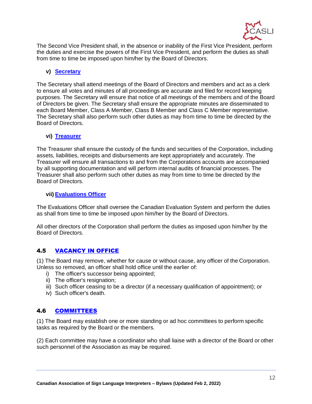

The Second Vice President shall, in the absence or inability of the First Vice President, perform the duties and exercise the powers of the First Vice President, and perform the duties as shall from time to time be imposed upon him/her by the Board of Directors.

#### **v) [Secretary](https://youtu.be/d11IR3IrrU8?t=1848)**

The Secretary shall attend meetings of the Board of Directors and members and act as a clerk to ensure all votes and minutes of all proceedings are accurate and filed for record keeping purposes. The Secretary will ensure that notice of all meetings of the members and of the Board of Directors be given. The Secretary shall ensure the appropriate minutes are disseminated to each Board Member, Class A Member, Class B Member and Class C Member representative. The Secretary shall also perform such other duties as may from time to time be directed by the Board of Directors.

#### **vi) [Treasurer](https://youtu.be/d11IR3IrrU8?t=1904)**

The Treasurer shall ensure the custody of the funds and securities of the Corporation, including assets, liabilities, receipts and disbursements are kept appropriately and accurately. The Treasurer will ensure all transactions to and from the Corporations accounts are accompanied by all supporting documentation and will perform internal audits of financial processes. The Treasurer shall also perform such other duties as may from time to time be directed by the Board of Directors.

#### **vii) [Evaluations](https://youtu.be/d11IR3IrrU8?t=1950) Officer**

The Evaluations Officer shall oversee the Canadian Evaluation System and perform the duties as shall from time to time be imposed upon him/her by the Board of Directors.

All other directors of the Corporation shall perform the duties as imposed upon him/her by the Board of Directors.

# <span id="page-11-0"></span>4.5 [VACANCY IN](https://youtu.be/d11IR3IrrU8?t=1981) OFFICE

(1) The Board may remove, whether for cause or without cause, any officer of the Corporation. Unless so removed, an officer shall hold office until the earlier of:

- i) The officer's successor being appointed;
- ii) The officer's resignation;
- iii) Such officer ceasing to be a director (if a necessary qualification of appointment); or
- iv) Such officer's death.

# <span id="page-11-1"></span>4.6 [COMMITTEES](https://youtu.be/d11IR3IrrU8?t=2026)

(1) The Board may establish one or more standing or ad hoc committees to perform specific tasks as required by the Board or the members.

(2) Each committee may have a coordinator who shall liaise with a director of the Board or other such personnel of the Association as may be required.